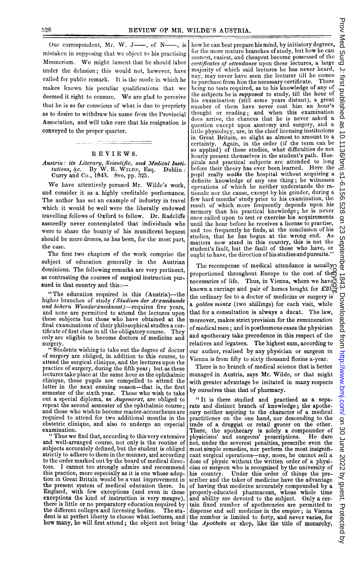Our correspondent, Mr. W. J-, of N-, is mistaken in supposing that we object to his practising Mesmerism. We might lament that he should labor under the delusion; this would not, however, have called for public remark. It is the mode in which he makes known his peculiar qualifications that we deemed it right to censure. We are glad to perceive that he is so far conscious of what is due to propriety as to desire to withdraw his name from the <sup>I</sup>'rovincial Association, and will take care that his resignation is conveyed to the proper quarter.

## R E V <sup>I</sup> E WS.

and the second state of the second state of the second state of the second state of the second state of the second state of the second state of the second state of the second state of the second state of the second state o

Austria: its Literary, Scientific, and Medical Insti-<br>tutions, &c. By W. R. WILDF., Esq. Dublin:<br>Curry and Co., 1843. 8vo, pp. 325.

We have attentively perused Mr. Wilde's work, and consider it as a highly creditable performance. The author has set an example of industry in travel which it would be well were the liberally endowed travelling fellows of Oxford to follow. Dr. Radcliffe assuredly never contemplated that individuals who were to share the bounty of his munificent bequest should be mere drones, as has been, for the most part, the case.

The first two chapters of the work comprise the subject of education generally in the Austrian dominions. The following remarks are very pertinent, as contrasting the courses of surgical instruction pur. sued in that country and this:-

"The education required in this (Austria)-the higher branches of study (Studium der Arzneikunde und hohern Wundarzneikunst)-requires five years, and none are permitted to attend the lectures upon these subjects but those who have obtained at the final examinations of their philosophical studies a certificate of first class in all the obligatory course. They only are eligible to become doctors of medicine and

surgery. " Students wishing to take out the degree of doctor of surgery are obliged, in addition to this course, to attend the surgical clinique, and the lectures upon the practice of surgery, during the fifth year; buit as these lectures take place at the same hour as the ophthalmic clinique, those pupils are compelled to attend the latter in the next ensuing season—that is, the first<br>semester of the sixth year. Those who wish to take<br>out a special diploma, as *Augenarzt*, are obliged to repeat the second semester of the ophthalmic course; and those who wishto become master-accoucheurs are required to attend for two additional months in the obstetric clinique, and also to undergo an especial examination.

" Thus we find that, according to this very extensive and well-arranged course, not only is the routine of subjects accurately defined, but the student is obliged strictly to adhere to them in the manner, and according to the order marked out by the board of medical directors. <sup>I</sup> cannot too strongly admire and recommend this practice, more especially as it is one whose adoption in Great Britain would be a vast improvement in the present system of medical education there. In England, with few exceptions (and even in those exceptions the kind of instruction is very meagre), there is little or no preparatory education required by<br>the different colleges and licensing bodies. The stuthe different colleges and licensing bodies. dent is at perfect liberty to choose what lectures, and how many, he will first attend; the object not being

how he can best prepare his mind, by initiatory degrees, for the more mature branches of study, but how he can soonest, easiest, and cheapest become possessed of the certificates of attendance upon these lectures, a large majority of which said lectures he has never heard, may, may never have seen the lecturer till he comes<br>to purpose from him the necessary certificate. There to purchase from him the necessary certificate. being no tests required, as to his knowledge of any of the subjects he is *supposed* to study, till the hour of his examiination (still some years distant), a great number of them have never cost him an hour's thought or reading; and when this examination does arrive, the chances that he is never asked a question except upon anatomy and surgery, and a little physiology, are, in the chief licensing institutions in Great Britain, so slight as almost to amount to a certainty. Again, in the order (if the term can be so applied) of these studies, what difficulties do not hourly present themselves in the student's path. Hospitals and practical subjects are attended to long before their theory has ever been learned. Here the pupil really walks the hospital without acquiring a definite knowledge of any one thing; he witnesses operations of which he neither understanids the rationale nor the cause, except by his grinder, during a few hard months' study prior to his examination, the<br>result of which more frequently depends upon his memory than his practical knowledge; he is never once called upon to test or exercise his acquirements until the hour before he receives a license to practise, and too frequently he finds, at the conclusion of his studies, that he has begun at the wrong end. As matters now stand in this country, this is not the student's fault, but the fault of those who have, or ought to have, the direction of his studies and pursuits."

The recompense of medical attendance is usually<sub>Q</sub> proportioned throughout Europe to the cost of the necessaries of life. Thus, in Vienna, where we have known a carriage and pair of horses bought for  $£20,$ the ordinary fee to a doctor of medicine or surgery is a golden müntz (two shillings) for each visit, while that for a consultation is always a ducat. The law, moreover, makes strict provision for the remuneration of medical men; and in posthumous cases the physician and apothecary take precedence in this respect of the relatives and legatees. The highest sum, according to our author, realised by any physician or surgeon in Vienna is from fifty to sixty thousand florins a-year. copyright.

There is no branch of medical science that is better managed in Austria, says Mr. Wilde, or that might with greater advantage be imitated in many respects by ourselves than that of pharmacy.

"It is there studied and practised as a separate and distinct branch of knowledge; the apothecary neither aspiring to the character of a medical practitioner on the one hand, nor descending to the trade of a druggist or retail grocer on the other. There, the apothecary is polely a compounder of physicians' and surgeons' prescriptions. He dare not, under the severest penalties, prescribe even the most simple remedies, nor perform the most insignificant surgical operations-nay, more, he cannot sell a dose of physic without the written order of a physician or surgeon who is recognised by the university of Under this order of things the prescriber and the taker of medicine have the advantage of having that medicine accurately compounded by a properly-educated pharmacean, whose whole time and ability are devoted to the subject. Only a certain fixed number of apothecaries are permitted to dispense and sell medicine in the empire; in Vienna the number is limited to forty, and never varies, for the Apotheke or shop, like the title of monarchy,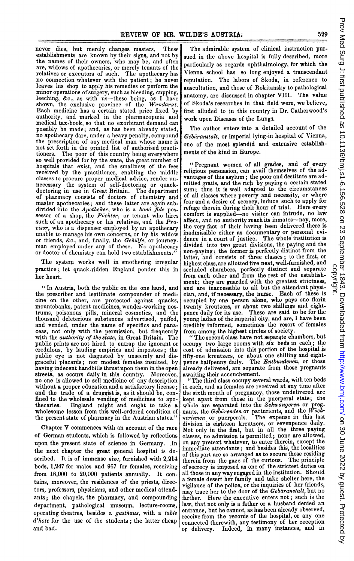never dies, but merely changes masters. These establishments are known by their signs, and not by the names of their owners, who may be, and often are, widows of apothecaries, or merely tenants of the relatives or executors of such. The apothecary has no connection whatever with the patient; he never leaves his shop to apply his remedies or perform the minor operations of surgery, such as bleeding, cupping, leeching, &c., as with us—these being, as I have<br>shown, the exclusive province of the Wundarzt. Each medicine has a certain stated price fixed by authority, and marked in the pharmacopeia and medical tax-book, so that no exorbitant demand can possibly be made; and, as has been already stated, no apothecary dare, under a heavy penalty, compound the prescription of any medical man whose name is not set forth in the printed list of authorised practitioners. The poor of this country being everywhere so well provided for by the state, the great number of hospitals that exist, and the smallness of the fees received by the practitioner, enabling the middle classes to procure proper medical advice, render unnecessary the system of self-doctoring or quack-<br>doctoring in use in Great Britain. The department<br>of pharmacy consists of doctors of chemistry and master apothecaries; and these latter are again subdivided into the Apotheker, who is a bond fide pos-<br>sessor of a shop, the Pächter, or tenant who hires such of an apothecary or his relatives, and the Provisor, who is <sup>a</sup> dispenser employed by an apothecary unable to manage his own concerns, or by his widow or friends, &c., and, finally, the Gehülfe, or journeyman employed under any of these. No apothecary<br>or doctor of chemistry can hold two establishments."

The system works well in smothering irregular practice; let quack-ridden England ponder this in her heart.

" In Austria, both the public on the one hand, and the prescriber and legitimate compounder of medicine on the other, are protected against quacks, mountebanks, patent medicines, wonder-working nostrums, poisonous pills, mineral cosmetics, and the thousand deleterious substances advertised, puffed, and vended, under the name of specifics and panaceas, not only with the permission, but frequently with the *authority of the state*, in Great Britain. The public prints are not hired to entrap the ignorant or credulous, by lauding empirics and impostors; the public eye is not disgusted by unseemly and disgraceful placards; nor modest females insulted, by having indecent handbills thrust upon them in the open streets, as occurs daily in this country. Moreover, no one is allowed to sell medicine of any description without a proper education and a satisfactory license; and the trade of a druggist is, as it should be, confined to the wholesale vending of medicines to apo-<br>thecaries. England might and ought to take a England might and ought to take a wholesome lesson from this well-ordered condition of the present state of pharmacy in the Austrian states."

Chapter V commences with an account of the race of German students, which is followed by reflections upon the present state of science in Germany. In the next chapter the great general hospital is described. It is of immense size, furnished with 2,214 beds, 1,247 for males and 967 for females, receiving from 18,000 to 20,000 patients annually. It contains, moreover, the residences of the priests, directors, professors, physicians, and other medical attendants; the chapels, the pharmacy, and compounding department, pathological museum, lecture-rooms, operating theatres, besides a gasthaus, with a table d'hote for the use of the students; the latter cheap and bad.

The admirable system of clinical instruction pursued in the above hospital is fully described, more particularly as regards ophthalmology, for which the Vienna school has so long enjoyed a transcendant reputation. The labors of Skoda, in reference to auscultation, and those of Rokitansky to pathological anatomy, are discussed in chapter VIII. The value of Skoda's researches in that field were, we believe, first alluded to in this country in Dr. Catherwood's work upon Diseases of the Lungs.

The author enters into a detailed account of the Gebäranstalt, or imperial lying-in hospital of Vienna, one of the most splendid and extensive establishments of the kind in Europe.

"Pregnant women of all grades, and of every religious persuasion, can avail themselves of the advantages of this asylum; the poor and destitute are admitted gratis, and the rich by paying a certain stated sum; thus it is well adapted to the circumstances of all classes where poverty and necessity, or where fear and <sup>a</sup> desire of secrecy, induce such to apply for refuge therein during their hour of trial. Here every comfort is supplied-no visiter can intrude, no law affect, and no authority reach its inmates-nay, more, the very fact of their having been delivered there is inadmissible either as documentary or personial evi-dence in <sup>a</sup> court of justice. The whole institution is divided into two great divisions, the paying and the non-paying; the former is perfectly distinct from the latter, and consists of three classes; to the first, or highest class, are allotted five neat, well-furnished, and secluded chambers, perfectly distinct and separate from each other and from the rest of the establishment; they are guarded with the greatest strictness, and are inaccessible to all but the attendant physician, and, if necessary, the nusse. Each of these is occupied by one person alone, who pays one florin twenty kreutzers, or about two shillings and eightpence daily for its use. These are said to be for the young ladies of the imperial city, and are, <sup>I</sup> have been credibly informed, sometimes the resort of females from among the highest circles of society.

" The second class have not separate chambers, but occupy two large rooms with six beds in each; the cost of admission into this portion of the hospital is fifty-one kreutzers, or about one shilling and eight-<br>pence halfpenny daily. The *Entbundenen*, or those already delivered, are separate from those pregnants awaiting their aceouchement.

"The third class occupy several wards, with ten beds in each, and as females are received at any time after the sixth month of pregnancy, those undelivered are kept apart from those in the puerperal state; the whole are separated into the Schwangeren or preg-<br>nants, the Gebarenden or parturients, and the Woch-<br>nerinnen or puerperals. The expense in this last division is eighteen kreutzers, or sevenpence daily. Not only in the first, but in all the three paying classes, no dmission is permitted; none are allowed, on any pretext whatever, to enter therein, except the immediate attendants; and besides this, the localities of this part are so arranged as to secure those residing therein from the gaze of the curious. The principle of secrecy is imposed as one of the strictest duties on all those in any wayengaged in the institution. Should <sup>a</sup> female desert her family and take shelter here, the vigilance of the police, or the inquiries of her friends, may trace her to the door of the Gebiranstalt, but no farther. Here the executive enters not; such is the law, that not only is <sup>a</sup> father or <sup>a</sup> husband denied an entrance, but he cannot, as has been already observed, receive from the records of the hospital, or any one connected therewith, any testimony of her reception or delivery. Indeed, in many instances, and in Indeed, in many instances, and in